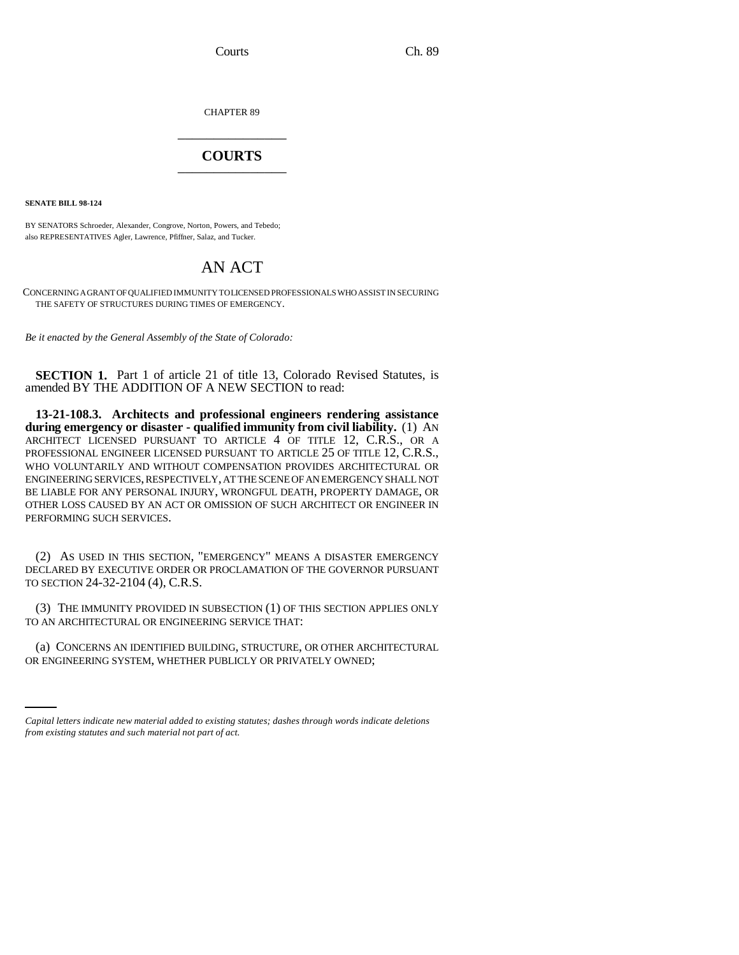Courts Ch. 89

CHAPTER 89 \_\_\_\_\_\_\_\_\_\_\_\_\_\_\_

## **COURTS** \_\_\_\_\_\_\_\_\_\_\_\_\_\_\_

**SENATE BILL 98-124**

BY SENATORS Schroeder, Alexander, Congrove, Norton, Powers, and Tebedo; also REPRESENTATIVES Agler, Lawrence, Pfiffner, Salaz, and Tucker.

## AN ACT

CONCERNING A GRANT OF QUALIFIED IMMUNITY TO LICENSED PROFESSIONALS WHO ASSIST IN SECURING THE SAFETY OF STRUCTURES DURING TIMES OF EMERGENCY.

*Be it enacted by the General Assembly of the State of Colorado:*

**SECTION 1.** Part 1 of article 21 of title 13, Colorado Revised Statutes, is amended BY THE ADDITION OF A NEW SECTION to read:

**13-21-108.3. Architects and professional engineers rendering assistance during emergency or disaster - qualified immunity from civil liability.** (1) AN ARCHITECT LICENSED PURSUANT TO ARTICLE 4 OF TITLE 12, C.R.S., OR A PROFESSIONAL ENGINEER LICENSED PURSUANT TO ARTICLE 25 OF TITLE 12, C.R.S., WHO VOLUNTARILY AND WITHOUT COMPENSATION PROVIDES ARCHITECTURAL OR ENGINEERING SERVICES, RESPECTIVELY, AT THE SCENE OF AN EMERGENCY SHALL NOT BE LIABLE FOR ANY PERSONAL INJURY, WRONGFUL DEATH, PROPERTY DAMAGE, OR OTHER LOSS CAUSED BY AN ACT OR OMISSION OF SUCH ARCHITECT OR ENGINEER IN PERFORMING SUCH SERVICES.

(2) AS USED IN THIS SECTION, "EMERGENCY" MEANS A DISASTER EMERGENCY DECLARED BY EXECUTIVE ORDER OR PROCLAMATION OF THE GOVERNOR PURSUANT TO SECTION 24-32-2104 (4), C.R.S.

(3) THE IMMUNITY PROVIDED IN SUBSECTION (1) OF THIS SECTION APPLIES ONLY TO AN ARCHITECTURAL OR ENGINEERING SERVICE THAT:

(a) CONCERNS AN IDENTIFIED BUILDING, STRUCTURE, OR OTHER ARCHITECTURAL OR ENGINEERING SYSTEM, WHETHER PUBLICLY OR PRIVATELY OWNED;

*Capital letters indicate new material added to existing statutes; dashes through words indicate deletions from existing statutes and such material not part of act.*